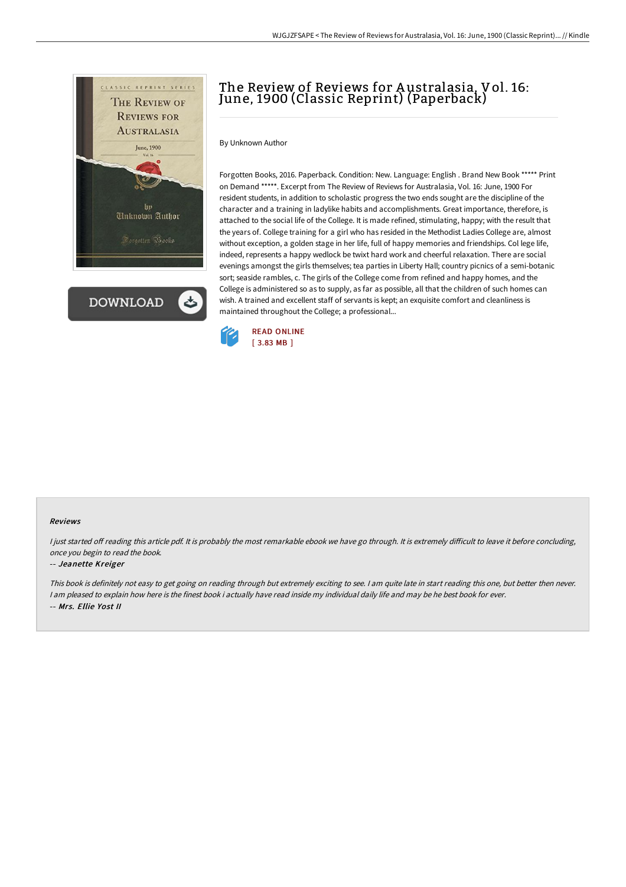

**DOWNLOAD** 

## The Review of Reviews for Australasia, Vol. 16: June, 1900 (Classic Reprint) (Paperback)

By Unknown Author

Forgotten Books, 2016. Paperback. Condition: New. Language: English . Brand New Book \*\*\*\*\* Print on Demand \*\*\*\*\*. Excerpt from The Review of Reviews for Australasia, Vol. 16: June, 1900 For resident students, in addition to scholastic progress the two ends sought are the discipline of the character and a training in ladylike habits and accomplishments. Great importance, therefore, is attached to the social life of the College. It is made refined, stimulating, happy; with the result that the years of. College training for a girl who has resided in the Methodist Ladies College are, almost without exception, a golden stage in her life, full of happy memories and friendships. Col lege life, indeed, represents a happy wedlock be twixt hard work and cheerful relaxation. There are social evenings amongst the girls themselves; tea parties in Liberty Hall; country picnics of a semi-botanic sort; seaside rambles, c. The girls of the College come from refined and happy homes, and the College is administered so as to supply, as far as possible, all that the children of such homes can wish. A trained and excellent staff of servants is kept; an exquisite comfort and cleanliness is maintained throughout the College; a professional...



## Reviews

I just started off reading this article pdf. It is probably the most remarkable ebook we have go through. It is extremely difficult to leave it before concluding, once you begin to read the book.

## -- Jeanette Kreiger

This book is definitely not easy to get going on reading through but extremely exciting to see. <sup>I</sup> am quite late in start reading this one, but better then never. I am pleased to explain how here is the finest book i actually have read inside my individual daily life and may be he best book for ever. -- Mrs. Ellie Yost II